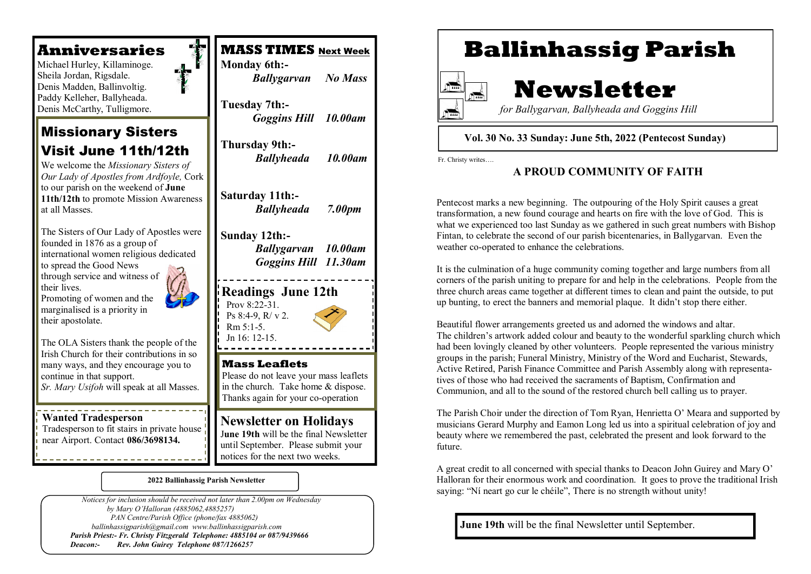### **Anniversaries**

 Michael Hurley, Killaminoge. Sheila Jordan, Rigsdale. Denis Madden, Ballinvoltig. Paddy Kelleher, Ballyheada. Denis McCarthy, Tulligmore.

### Missionary Sisters Visit June 11th/12th

We welcome the *Missionary Sisters of Our Lady of Apostles from Ardfoyle,* Cork to our parish on the weekend of **June 11th/12th** to promote Mission Awareness at all Masses.

The Sisters of Our Lady of Apostles were founded in 1876 as a group of international women religious dedicated to spread the Good News through service and witness of their lives.

Promoting of women and the marginalised is a priority in their apostolate.

The OLA Sisters thank the people of the Irish Church for their contributions in so many ways, and they encourage you to continue in that support. *Sr. Mary Usifoh* will speak at all Masses.

#### **Wanted Tradesperson**

Tradesperson to fit stairs in private house near Airport. Contact **086/3698134.**



#### **2022 Ballinhassig Parish Newsletter**

 *Notices for inclusion should be received not later than 2.00pm on Wednesday by Mary O'Halloran (4885062,4885257) PAN Centre/Parish Office (phone/fax 4885062) ballinhassigparish@gmail.com www.ballinhassigparish.com Parish Priest:- Fr. Christy Fitzgerald Telephone: 4885104 or 087/9439666 Deacon:- Rev. John Guirey Telephone 087/1266257*

# **Ballinhassig Parish**



# **Newsletter**

 *for Ballygarvan, Ballyheada and Goggins Hill* 

#### **Vol. 30 No. 33 Sunday: June 5th, 2022 (Pentecost Sunday)**

Fr. Christy writes….

#### **A PROUD COMMUNITY OF FAITH**

Pentecost marks a new beginning. The outpouring of the Holy Spirit causes a great transformation, a new found courage and hearts on fire with the love of God. This is what we experienced too last Sunday as we gathered in such great numbers with Bishop Fintan, to celebrate the second of our parish bicentenaries, in Ballygarvan. Even the weather co-operated to enhance the celebrations.

It is the culmination of a huge community coming together and large numbers from all corners of the parish uniting to prepare for and help in the celebrations. People from the three church areas came together at different times to clean and paint the outside, to put up bunting, to erect the banners and memorial plaque. It didn't stop there either.

Beautiful flower arrangements greeted us and adorned the windows and altar. The children's artwork added colour and beauty to the wonderful sparkling church which had been lovingly cleaned by other volunteers. People represented the various ministry groups in the parish; Funeral Ministry, Ministry of the Word and Eucharist, Stewards, Active Retired, Parish Finance Committee and Parish Assembly along with representatives of those who had received the sacraments of Baptism, Confirmation and Communion, and all to the sound of the restored church bell calling us to prayer.

The Parish Choir under the direction of Tom Ryan, Henrietta O' Meara and supported by musicians Gerard Murphy and Eamon Long led us into a spiritual celebration of joy and beauty where we remembered the past, celebrated the present and look forward to the future.

A great credit to all concerned with special thanks to Deacon John Guirey and Mary O' Halloran for their enormous work and coordination. It goes to prove the traditional Irish saying: "Ní neart go cur le chéile", There is no strength without unity!

**June 19th** will be the final Newsletter until September.